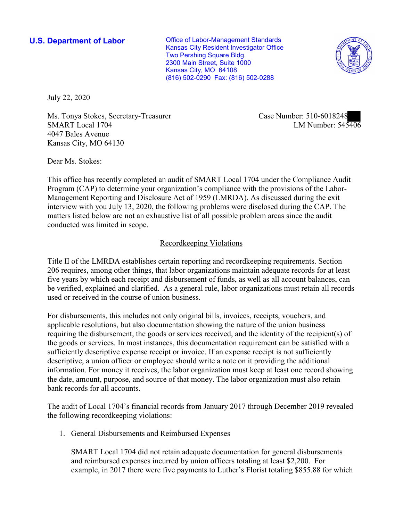**U.S. Department of Labor Conservative Conservative Conservative Conservative Conservative Conservative Conservative Conservative Conservative Conservative Conservative Conservative Conservative Conservative Conservative** Kansas City Resident Investigator Office Two Pershing Square Bldg. 2300 Main Street, Suite 1000 Kansas City, MO 64108 (816) 502-0290 Fax: (816) 502-0288



July 22, 2020

■ SMART Local 1704 LM Number: 545406 Ms. Tonya Stokes, Secretary-Treasurer Case Number: 510-6018248 4047 Bales Avenue Kansas City, MO 64130

Dear Ms. Stokes:

 This office has recently completed an audit of SMART Local 1704 under the Compliance Audit Management Reporting and Disclosure Act of 1959 (LMRDA). As discussed during the exit Program (CAP) to determine your organization's compliance with the provisions of the Laborinterview with you July 13, 2020, the following problems were disclosed during the CAP. The matters listed below are not an exhaustive list of all possible problem areas since the audit conducted was limited in scope.

## Recordkeeping Violations

 Title II of the LMRDA establishes certain reporting and recordkeeping requirements. Section 206 requires, among other things, that labor organizations maintain adequate records for at least five years by which each receipt and disbursement of funds, as well as all account balances, can be verified, explained and clarified. As a general rule, labor organizations must retain all records used or received in the course of union business.

For disbursements, this includes not only original bills, invoices, receipts, vouchers, and applicable resolutions, but also documentation showing the nature of the union business requiring the disbursement, the goods or services received, and the identity of the recipient(s) of the goods or services. In most instances, this documentation requirement can be satisfied with a sufficiently descriptive expense receipt or invoice. If an expense receipt is not sufficiently descriptive, a union officer or employee should write a note on it providing the additional information. For money it receives, the labor organization must keep at least one record showing the date, amount, purpose, and source of that money. The labor organization must also retain bank records for all accounts.

The audit of Local 1704's financial records from January 2017 through December 2019 revealed the following recordkeeping violations:

1. General Disbursements and Reimbursed Expenses

 example, in 2017 there were five payments to Luther's Florist totaling \$855.88 for which SMART Local 1704 did not retain adequate documentation for general disbursements and reimbursed expenses incurred by union officers totaling at least \$2,200. For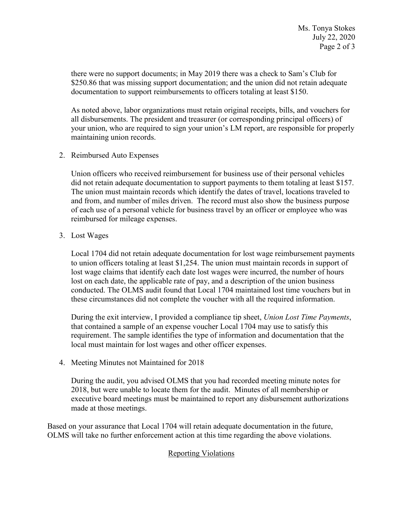documentation to support reimbursements to officers totaling at least \$150. there were no support documents; in May 2019 there was a check to Sam's Club for \$250.86 that was missing support documentation; and the union did not retain adequate

 all disbursements. The president and treasurer (or corresponding principal officers) of As noted above, labor organizations must retain original receipts, bills, and vouchers for your union, who are required to sign your union's LM report, are responsible for properly maintaining union records.

2. Reimbursed Auto Expenses

Union officers who received reimbursement for business use of their personal vehicles did not retain adequate documentation to support payments to them totaling at least \$157. The union must maintain records which identify the dates of travel, locations traveled to and from, and number of miles driven. The record must also show the business purpose of each use of a personal vehicle for business travel by an officer or employee who was reimbursed for mileage expenses.

3. Lost Wages

Local 1704 did not retain adequate documentation for lost wage reimbursement payments to union officers totaling at least \$1,254. The union must maintain records in support of lost wage claims that identify each date lost wages were incurred, the number of hours lost on each date, the applicable rate of pay, and a description of the union business conducted. The OLMS audit found that Local 1704 maintained lost time vouchers but in these circumstances did not complete the voucher with all the required information.

 that contained a sample of an expense voucher Local 1704 may use to satisfy this During the exit interview, I provided a compliance tip sheet, *Union Lost Time Payments*, requirement. The sample identifies the type of information and documentation that the local must maintain for lost wages and other officer expenses.

4. Meeting Minutes not Maintained for 2018

During the audit, you advised OLMS that you had recorded meeting minute notes for 2018, but were unable to locate them for the audit. Minutes of all membership or executive board meetings must be maintained to report any disbursement authorizations made at those meetings.

 Based on your assurance that Local 1704 will retain adequate documentation in the future, OLMS will take no further enforcement action at this time regarding the above violations.

## Reporting Violations